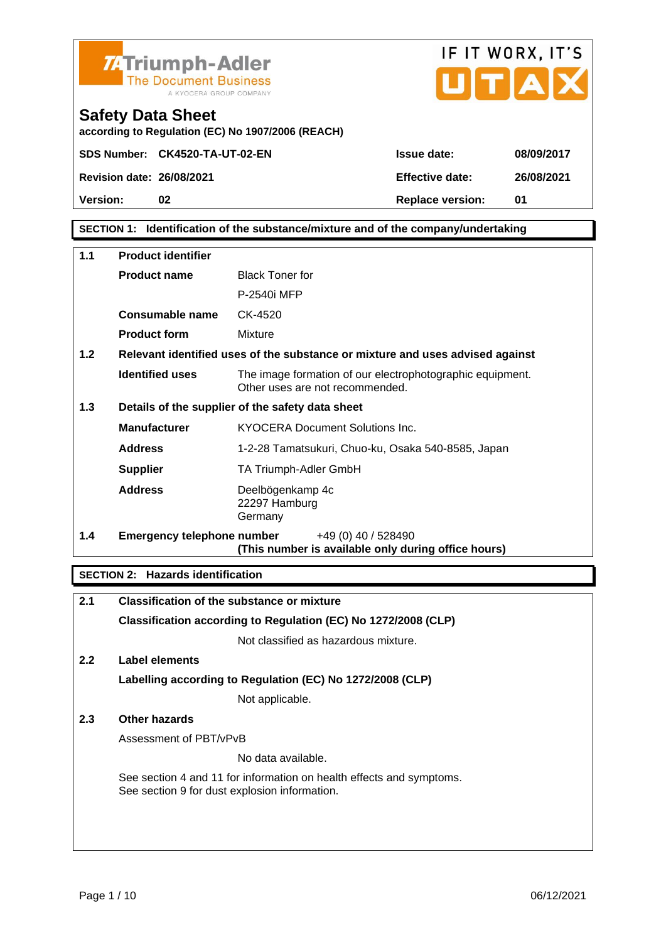



Safety Data Sheet according to Regulation (EC) No 1907/2006 (REACH)

Version: 02 02 Replace version: 01

### SECTION 1: Identification of the substance/mixture and of the company/undertaking

| 1.1 | Product identifier         |                                                                                              |  |
|-----|----------------------------|----------------------------------------------------------------------------------------------|--|
|     | Product name               | <b>Black Toner for</b>                                                                       |  |
|     |                            | P-2540i MFP                                                                                  |  |
|     | Consumable name            | CK-4520                                                                                      |  |
|     | Product form               | Mixture                                                                                      |  |
| 1.2 |                            | Relevant identified uses of the substance or mixture and uses advised against                |  |
|     | Identified uses            | The image formation of our electrophotographic equipment.<br>Other uses are not recommended. |  |
| 1.3 |                            | Details of the supplier of the safety data sheet                                             |  |
|     | Manufacturer               | <b>KYOCERA Document Solutions Inc.</b>                                                       |  |
|     | Address                    | 1-2-28 Tamatsukuri, Chuo-ku, Osaka 540-8585, Japan                                           |  |
|     | Supplier                   | TA Triumph-Adler GmbH                                                                        |  |
|     | Address                    | Deelbögenkamp 4c<br>22297 Hamburg<br>Germany                                                 |  |
| 1.4 | Emergency telephone number | +49 (0) 40 / 528490<br>(This number is available only during office hours)                   |  |

SECTION 2: Hazards identification

| 2.1           | Classification of the substance or mixture                                                                            |
|---------------|-----------------------------------------------------------------------------------------------------------------------|
|               | Classification according to Regulation (EC) No 1272/2008 (CLP)                                                        |
|               | Not classified as hazardous mixture.                                                                                  |
| $2.2^{\circ}$ | Label elements                                                                                                        |
|               | Labelling according to Regulation (EC) No 1272/2008 (CLP)                                                             |
|               | Not applicable.                                                                                                       |
| 2.3           | Other hazards                                                                                                         |
|               | Assessment of PBT/vPvB                                                                                                |
|               | No data available.                                                                                                    |
|               | See section 4 and 11 for information on health effects and symptoms.<br>See section 9 for dust explosion information. |
|               |                                                                                                                       |
|               |                                                                                                                       |
|               |                                                                                                                       |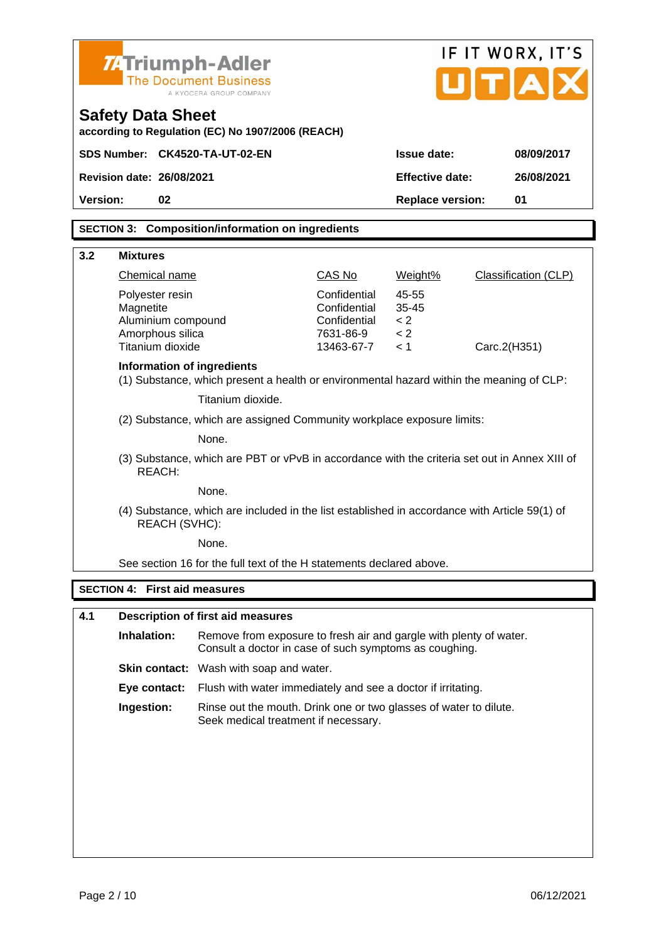| <b>74 Triumph-Adler</b><br>Safety Data Sheet                                                                           | <b>The Document Business</b><br>A KYOCERA GROUP COMPANY<br>according to Regulation (EC) No 1907/2006 (REACH)                 |                                                                         |                                         | UTAI         | IF IT WORX, IT'S     |
|------------------------------------------------------------------------------------------------------------------------|------------------------------------------------------------------------------------------------------------------------------|-------------------------------------------------------------------------|-----------------------------------------|--------------|----------------------|
| SDS Number: CK4520-TA-UT-02-EN                                                                                         |                                                                                                                              |                                                                         | Issue date:                             |              | 08/09/2017           |
| Revision date: 26/08/2021                                                                                              |                                                                                                                              |                                                                         | Effective date:                         |              | 26/08/2021           |
| Version:<br>02                                                                                                         |                                                                                                                              |                                                                         | Replace version:                        |              | 01                   |
|                                                                                                                        | SECTION 3: Composition/information on ingredients                                                                            |                                                                         |                                         |              |                      |
| 3.2<br><b>Mixtures</b>                                                                                                 |                                                                                                                              |                                                                         |                                         |              |                      |
| <b>Chemical name</b>                                                                                                   |                                                                                                                              | CAS No                                                                  | Weight%                                 |              | Classification (CLP) |
| Polyester resin<br>Magnetite<br>Aluminium compound<br>Amorphous silica<br>Titanium dioxide                             |                                                                                                                              | Confidential<br>Confidential<br>Confidential<br>7631-86-9<br>13463-67-7 | 45-55<br>$35 - 45$<br>< 2<br>< 2<br>< 1 | Carc.2(H351) |                      |
| Information of ingredients<br>(1) Substance, which present a health or environmental hazard within the meaning of CLP: |                                                                                                                              |                                                                         |                                         |              |                      |
| Titanium dioxide.                                                                                                      |                                                                                                                              |                                                                         |                                         |              |                      |
| (2) Substance, which are assigned Community workplace exposure limits:                                                 |                                                                                                                              |                                                                         |                                         |              |                      |
| None.<br>(3) Substance, which are PBT or vPvB in accordance with the criteria set out in Annex XIII of<br>REACH:       |                                                                                                                              |                                                                         |                                         |              |                      |
|                                                                                                                        | None.                                                                                                                        |                                                                         |                                         |              |                      |
| REACH (SVHC):                                                                                                          | (4) Substance, which are included in the list established in accordance with Article 59(1) of                                |                                                                         |                                         |              |                      |
|                                                                                                                        | None.                                                                                                                        |                                                                         |                                         |              |                      |
|                                                                                                                        | See section 16 for the full text of the H statements declared above.                                                         |                                                                         |                                         |              |                      |
| SECTION 4: First aid measures                                                                                          |                                                                                                                              |                                                                         |                                         |              |                      |
| 4.1                                                                                                                    | Description of first aid measures                                                                                            |                                                                         |                                         |              |                      |
| Inhalation:                                                                                                            | Remove from exposure to fresh air and gargle with plenty of water.<br>Consult a doctor in case of such symptoms as coughing. |                                                                         |                                         |              |                      |
|                                                                                                                        | Skin contact: Wash with soap and water.                                                                                      |                                                                         |                                         |              |                      |
| Eye contact:                                                                                                           | Flush with water immediately and see a doctor if irritating.                                                                 |                                                                         |                                         |              |                      |
| Ingestion:                                                                                                             | Rinse out the mouth. Drink one or two glasses of water to dilute.<br>Seek medical treatment if necessary.                    |                                                                         |                                         |              |                      |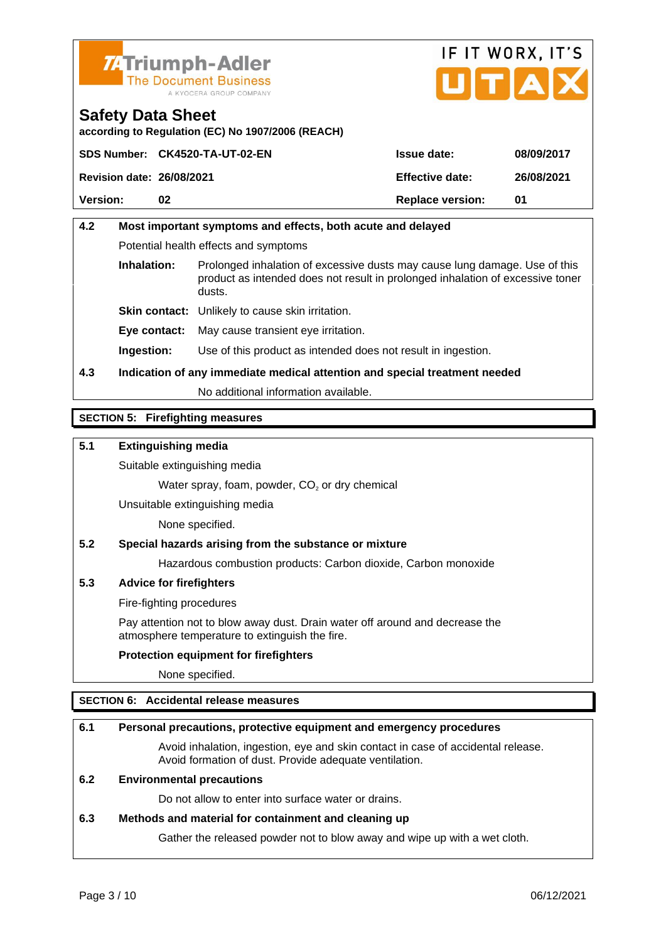



according to Regulation (EC) No 1907/2006 (REACH)

|                           | SDS Number: CK4520-TA-UT-02-EN | Issue date:      | 08/09/2017 |
|---------------------------|--------------------------------|------------------|------------|
| Revision date: 26/08/2021 |                                | Effective date:  | 26/08/2021 |
| Version:                  | በ2                             | Replace version: | 01         |

# 4.2 Most important symptoms and effects, both acute and delayed Potential health effects and symptoms Inhalation: Prolonged inhalation of excessive dusts may cause lung damage. Use of this product as intended does not result in prolonged inhalation of excessive toner dusts. Skin contact: Unlikely to cause skin irritation. Eye contact: May cause transient eye irritation. Ingestion: Use of this product as intended does not result in ingestion. 4.3 Indication of any immediate medical attention and special treatment needed No additional information available.

### SECTION 5: Firefighting measures

5.1 Extinguishing media

Suitable extinguishing media

Water spray, foam, powder,  $CO<sub>2</sub>$  or dry chemical

Unsuitable extinguishing media

None specified.

5.2 Special hazards arising from the substance or mixture

Hazardous combustion products: Carbon dioxide, Carbon monoxide

5.3 Advice for firefighters

Fire-fighting procedures

Pay attention not to blow away dust. Drain water off around and decrease the atmosphere temperature to extinguish the fire.

Protection equipment for firefighters

None specified.

### SECTION 6: Accidental release measures

| 6.1 | Personal precautions, protective equipment and emergency procedures                                                                        |
|-----|--------------------------------------------------------------------------------------------------------------------------------------------|
|     | Avoid inhalation, ingestion, eye and skin contact in case of accidental release.<br>Avoid formation of dust. Provide adequate ventilation. |
| 6.2 | Environmental precautions                                                                                                                  |
|     | Do not allow to enter into surface water or drains.                                                                                        |
| 6.3 | Methods and material for containment and cleaning up                                                                                       |
|     | Gather the released powder not to blow away and wipe up with a wet cloth.                                                                  |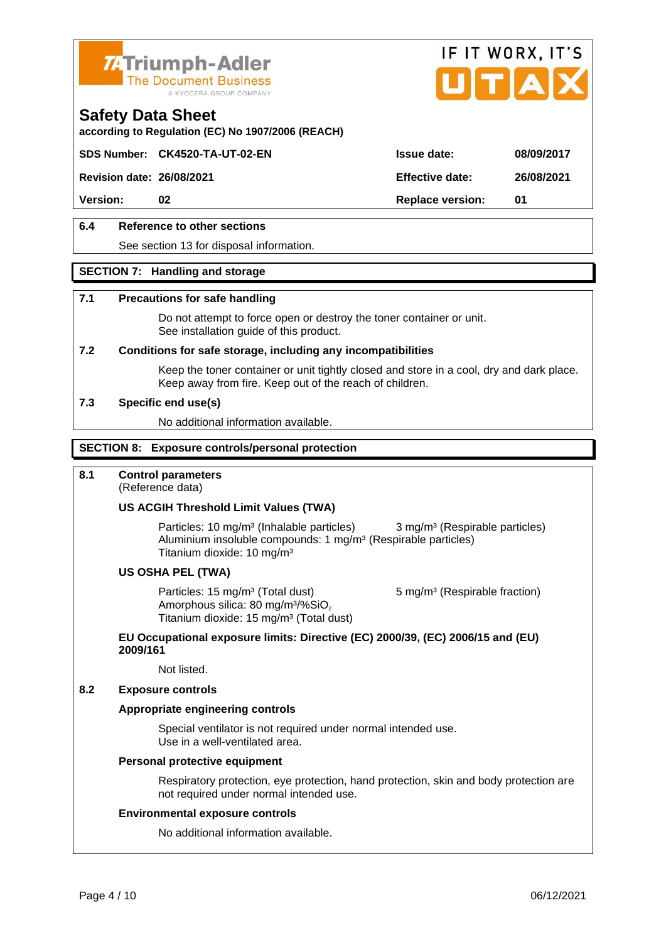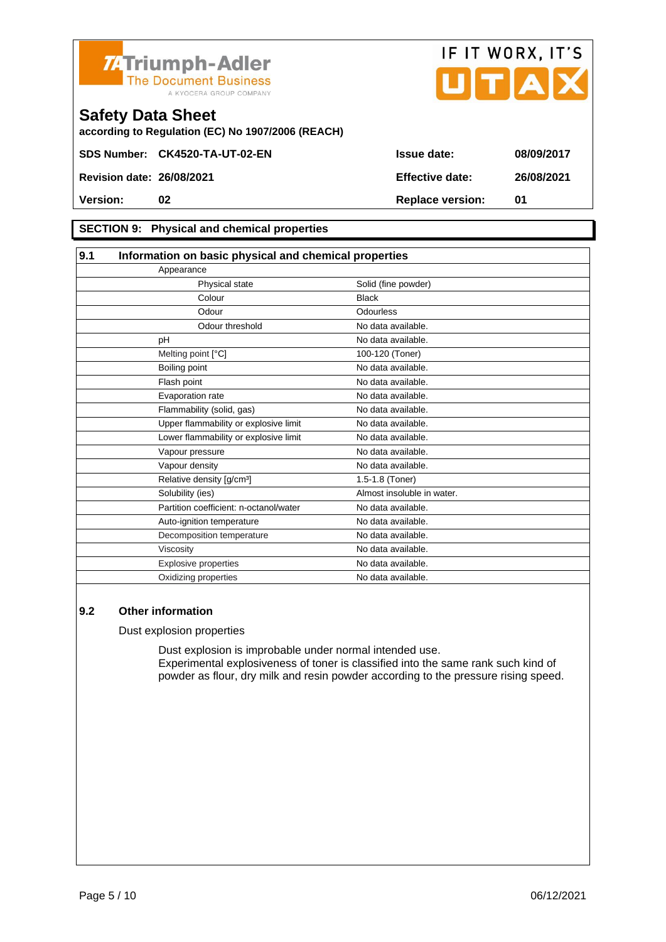



according to Regulation (EC) No 1907/2006 (REACH)

### SECTION 9: Physical and chemical properties

| 9.1 | Information on basic physical and chemical properties |                            |  |
|-----|-------------------------------------------------------|----------------------------|--|
|     | Appearance                                            |                            |  |
|     | Physical state                                        | Solid (fine powder)        |  |
|     | Colour                                                | <b>Black</b>               |  |
|     | Odour                                                 | <b>Odourless</b>           |  |
|     | Odour threshold                                       | No data available.         |  |
|     | рH                                                    | No data available.         |  |
|     | Melting point [°C]                                    | 100-120 (Toner)            |  |
|     | Boiling point                                         | No data available.         |  |
|     | Flash point                                           | No data available.         |  |
|     | Evaporation rate                                      | No data available.         |  |
|     | Flammability (solid, gas)                             | No data available.         |  |
|     | Upper flammability or explosive limit                 | No data available.         |  |
|     | Lower flammability or explosive limit                 | No data available.         |  |
|     | Vapour pressure                                       | No data available.         |  |
|     | Vapour density                                        | No data available.         |  |
|     | Relative density [g/cm <sup>3</sup> ]                 | 1.5-1.8 (Toner)            |  |
|     | Solubility (ies)                                      | Almost insoluble in water. |  |
|     | Partition coefficient: n-octanol/water                | No data available.         |  |
|     | Auto-ignition temperature                             | No data available.         |  |
|     | Decomposition temperature                             | No data available.         |  |
|     | Viscosity                                             | No data available.         |  |
|     | <b>Explosive properties</b>                           | No data available.         |  |
|     | Oxidizing properties                                  | No data available.         |  |

#### 9.2 Other information

Dust explosion properties

Dust explosion is improbable under normal intended use. Experimental explosiveness of toner is classified into the same rank such kind of powder as flour, dry milk and resin powder according to the pressure rising speed.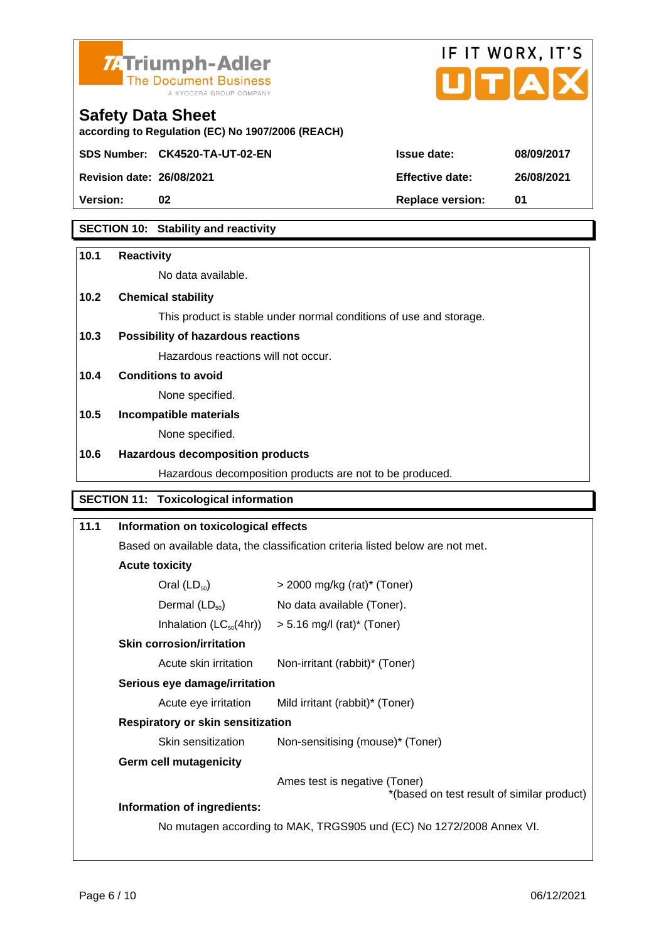

according to Regulation (EC) No 1907/2006 (REACH)



Safety Data Sheet

| Revision date: 26/08/2021 | Effective date:  | 26/08 |
|---------------------------|------------------|-------|
| Version:                  | Replace version: |       |
|                           |                  |       |

### SECTION 10: Stability and reactivity

| 10.1 | Reactivity                               |                                                                                |
|------|------------------------------------------|--------------------------------------------------------------------------------|
|      | No data available.                       |                                                                                |
| 10.2 | Chemical stability                       |                                                                                |
|      |                                          | This product is stable under normal conditions of use and storage.             |
| 10.3 | Possibility of hazardous reactions       |                                                                                |
|      | Hazardous reactions will not occur.      |                                                                                |
| 10.4 | Conditions to avoid                      |                                                                                |
|      | None specified.                          |                                                                                |
| 10.5 | Incompatible materials                   |                                                                                |
|      | None specified.                          |                                                                                |
| 10.6 | Hazardous decomposition products         |                                                                                |
|      |                                          | Hazardous decomposition products are not to be produced.                       |
|      | SECTION 11:<br>Toxicological information |                                                                                |
| 11.1 | Information on toxicological effects     |                                                                                |
|      |                                          | Based on available data, the classification criteria listed below are not met. |
|      | Acute toxicity                           |                                                                                |
|      | Oral $(LD_{50})$                         | $>$ 2000 mg/kg (rat)* (Toner)                                                  |
|      | Dermal $(LD_{50})$                       | No data available (Toner).                                                     |
|      | Inhalation $(LC_{50}(4hr))$              | $> 5.16$ mg/l (rat)* (Toner)                                                   |
|      | Skin corrosion/irritation                |                                                                                |
|      | Acute skin irritation                    | Non-irritant (rabbit)* (Toner)                                                 |
|      | Serious eye damage/irritation            |                                                                                |
|      | Acute eye irritation                     | Mild irritant (rabbit)* (Toner)                                                |
|      | Respiratory or skin sensitization        |                                                                                |
|      | Skin sensitization                       | Non-sensitising (mouse)* (Toner)                                               |
|      | Germ cell mutagenicity                   |                                                                                |
|      |                                          | Ames test is negative (Toner)<br>*(based on test result of similar product)    |
|      | Information of ingredients:              |                                                                                |
|      |                                          | No mutagen according to MAK, TRGS905 und (EC) No 1272/2008 Annex VI.           |
|      |                                          |                                                                                |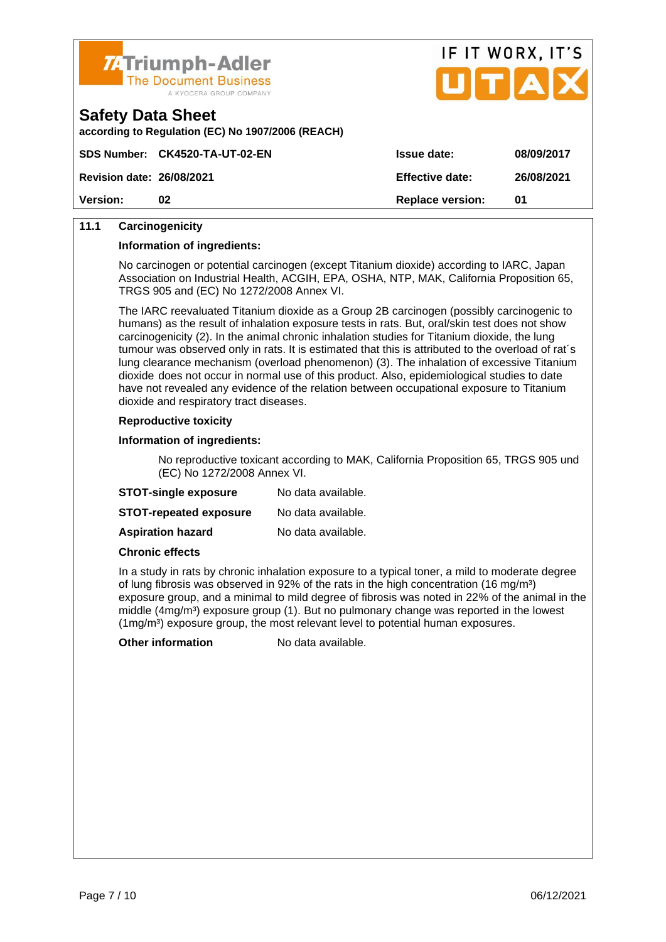



according to Regulation (EC) No 1907/2006 (REACH)

|                           | SDS Number: CK4520-TA-UT-02-EN | Issue date:      | 08/09/2017 |
|---------------------------|--------------------------------|------------------|------------|
| Revision date: 26/08/2021 |                                | Effective date:  | 26/08/2021 |
| Version:                  |                                | Replace version: | 01         |

### 11.1 Carcinogenicity

Information of ingredients:

No carcinogen or potential carcinogen (except Titanium dioxide) according to IARC, Japan Association on Industrial Health, ACGIH, EPA, OSHA, NTP, MAK, California Proposition 65, TRGS 905 and (EC) No 1272/2008 Annex VI.

The IARC reevaluated Titanium dioxide as a Group 2B carcinogen (possibly carcinogenic to humans) as the result of inhalation exposure tests in rats. But, oral/skin test does not show carcinogenicity (2). In the animal chronic inhalation studies for Titanium dioxide, the lung tumour was observed only in rats. It is estimated that this is attributed to the overload of rat´s lung clearance mechanism (overload phenomenon) (3). The inhalation of excessive Titanium dioxide does not occur in normal use of this product. Also, epidemiological studies to date have not revealed any evidence of the relation between occupational exposure to Titanium dioxide and respiratory tract diseases.

#### Reproductive toxicity

Information of ingredients:

No reproductive toxicant according to MAK, California Proposition 65, TRGS 905 und (EC) No 1272/2008 Annex VI.

| STOT-single exposure   | No data available. |
|------------------------|--------------------|
| STOT-repeated exposure | No data available. |
| Aspiration hazard      | No data available. |

Chronic effects

In a study in rats by chronic inhalation exposure to a typical toner, a mild to moderate degree of lung fibrosis was observed in 92% of the rats in the high concentration (16 mg/m<sup>3</sup>) exposure group, and a minimal to mild degree of fibrosis was noted in 22% of the animal in the middle (4mg/m<sup>3</sup>) exposure group (1). But no pulmonary change was reported in the lowest  $(1 \text{mg/m}^3)$  exposure group, the most relevant level to potential human exposures.

Other information No data available.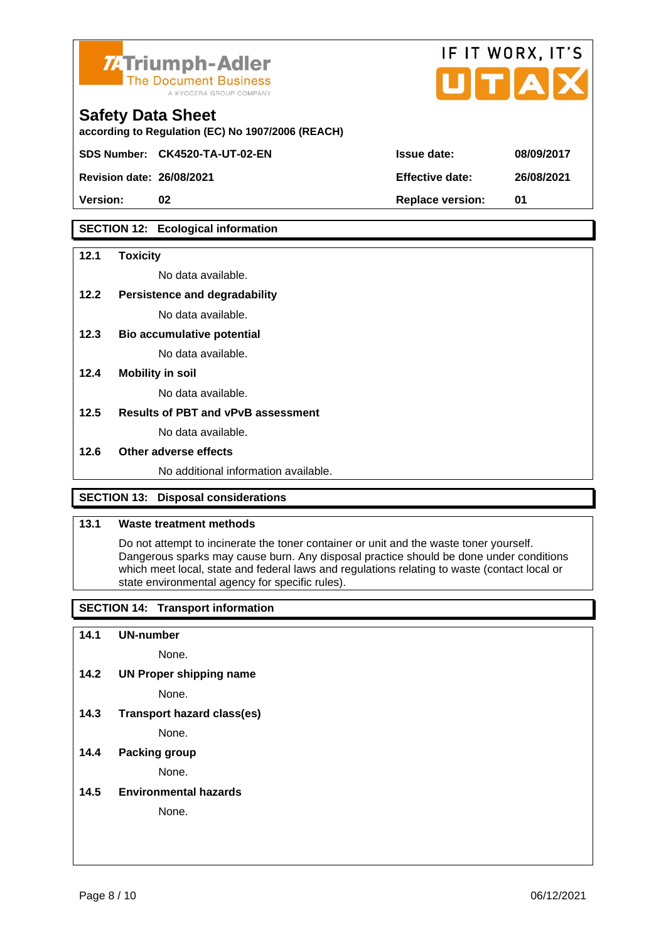

according to Regulation (EC) No 1907/2006 (REACH)

Safety Data Sheet

Revision date: 26/08/2021

|                 | IF II WURX, II 5 |
|-----------------|------------------|
| Issue date:     | 08/09/2017       |
| Effective date: | 26/08/2021       |

 $F1T1100V$ 

 $1 + 1$ 

Version: 02 02 Replace version: 01

### SECTION 12: Ecological information

SDS Number: CK4520-TA-UT-02-EN

| 12.1 | Toxicity                             |
|------|--------------------------------------|
|      | No data available.                   |
| 12.2 | Persistence and degradability        |
|      | No data available.                   |
| 12.3 | Bio accumulative potential           |
|      | No data available.                   |
| 12.4 | Mobility in soil                     |
|      | No data available.                   |
| 12.5 | Results of PBT and vPvB assessment   |
|      | No data available.                   |
| 12.6 | Other adverse effects                |
|      | No additional information available. |
|      | SECTION 13: Disposal considerations  |

### 13.1 Waste treatment methods

Do not attempt to incinerate the toner container or unit and the waste toner yourself. Dangerous sparks may cause burn. Any disposal practice should be done under conditions which meet local, state and federal laws and regulations relating to waste (contact local or state environmental agency for specific rules).

SECTION 14: Transport information

14.1 UN-number

None.

14.2 UN Proper shipping name

None.

14.3 Transport hazard class(es)

None.

### 14.4 Packing group

None.

14.5 Environmental hazards

None.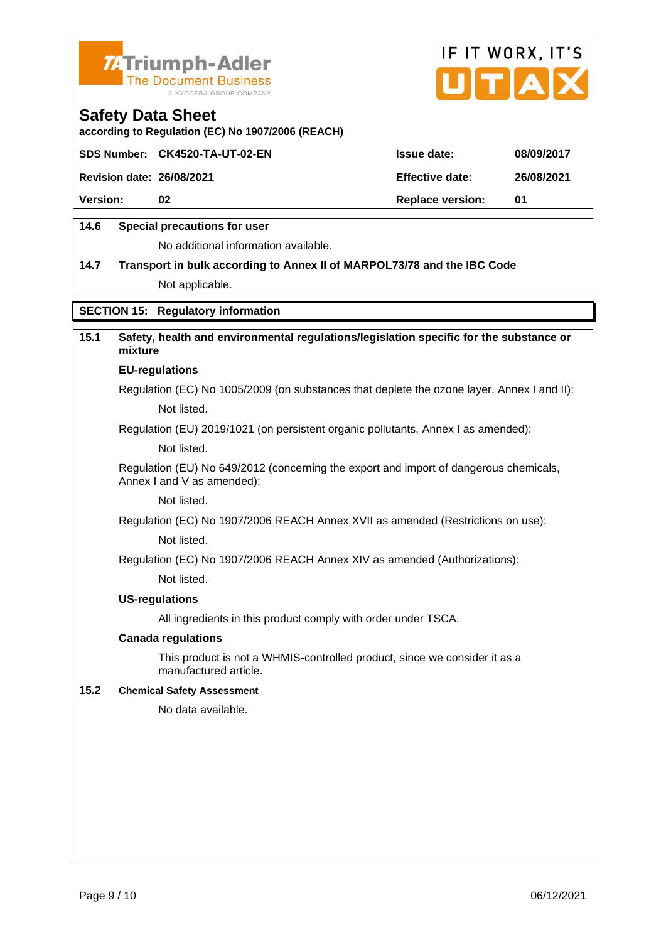



according to Regulation (EC) No 1907/2006 (REACH)

|                           | SDS Number: CK4520-TA-UT-02-EN | Issue date:      | 08/09/2017 |
|---------------------------|--------------------------------|------------------|------------|
| Revision date: 26/08/2021 |                                | Effective date:  | 26/08/2021 |
| Version:                  | 02                             | Replace version: | 01         |
|                           |                                |                  |            |

### 14.6 Special precautions for user

No additional information available.

14.7 Transport in bulk according to Annex II of MARPOL73/78 and the IBC Code Not applicable.

### SECTION 15: Regulatory information

| 15.1 | Safety, health and environmental regulations/legislation specific for the substance or<br>mixture                   |  |
|------|---------------------------------------------------------------------------------------------------------------------|--|
|      | EU-regulations                                                                                                      |  |
|      | Regulation (EC) No 1005/2009 (on substances that deplete the ozone layer, Annex I and II):                          |  |
|      | Not listed.                                                                                                         |  |
|      | Regulation (EU) 2019/1021 (on persistent organic pollutants, Annex I as amended):                                   |  |
|      | Not listed.                                                                                                         |  |
|      | Regulation (EU) No 649/2012 (concerning the export and import of dangerous chemicals,<br>Annex I and V as amended): |  |
|      | Not listed.                                                                                                         |  |
|      | Regulation (EC) No 1907/2006 REACH Annex XVII as amended (Restrictions on use):                                     |  |
|      | Not listed.                                                                                                         |  |
|      | Regulation (EC) No 1907/2006 REACH Annex XIV as amended (Authorizations):                                           |  |
|      | Not listed.                                                                                                         |  |
|      | US-regulations                                                                                                      |  |
|      | All ingredients in this product comply with order under TSCA.                                                       |  |
|      | Canada regulations                                                                                                  |  |
|      | This product is not a WHMIS-controlled product, since we consider it as a<br>manufactured article.                  |  |
| 15.2 | <b>Chemical Safety Assessment</b>                                                                                   |  |
|      | No data available.                                                                                                  |  |
|      |                                                                                                                     |  |
|      |                                                                                                                     |  |
|      |                                                                                                                     |  |
|      |                                                                                                                     |  |
|      |                                                                                                                     |  |
|      |                                                                                                                     |  |